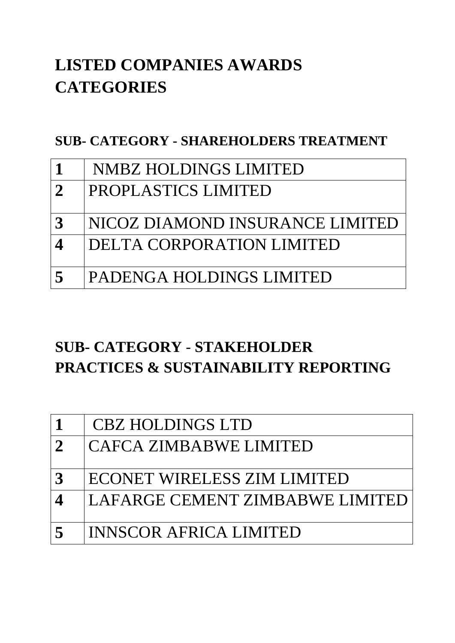# **LISTED COMPANIES AWARDS CATEGORIES**

#### **SUB- CATEGORY - SHAREHOLDERS TREATMENT**

|                          | <b>NMBZ HOLDINGS LIMITED</b>    |
|--------------------------|---------------------------------|
| $\mathbf 2$              | PROPLASTICS LIMITED             |
|                          |                                 |
| $\mathbf 3$              | NICOZ DIAMOND INSURANCE LIMITED |
| $\boldsymbol{\varDelta}$ | DELTA CORPORATION LIMITED       |
|                          |                                 |
|                          | PADENGA HOLDINGS LIMITED        |

# **SUB- CATEGORY** - **STAKEHOLDER PRACTICES & SUSTAINABILITY REPORTING**

|              | <b>CBZ HOLDINGS LTD</b>         |
|--------------|---------------------------------|
| $\mathbf{2}$ | <b>CAFCA ZIMBABWE LIMITED</b>   |
|              | ECONET WIRELESS ZIM LIMITED     |
|              | LAFARGE CEMENT ZIMBABWE LIMITED |
|              | <b>INNSCOR AFRICA LIMITED</b>   |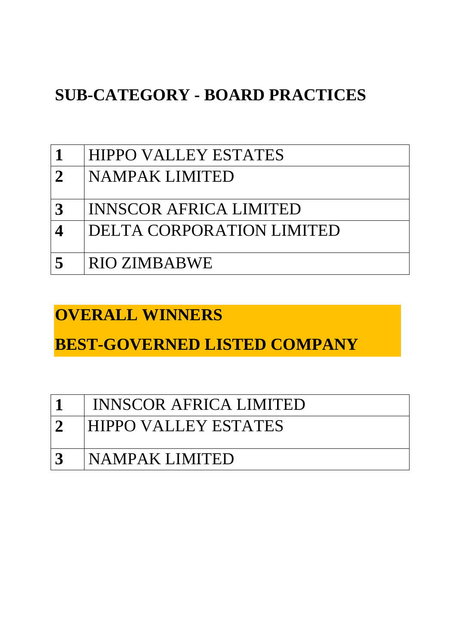# **SUB-CATEGORY - BOARD PRACTICES**

|                          | <b>HIPPO VALLEY ESTATES</b>   |
|--------------------------|-------------------------------|
| $\overline{2}$           | NAMPAK LIMITED                |
|                          |                               |
| $\mathbf{3}$             | <b>INNSCOR AFRICA LIMITED</b> |
| $\boldsymbol{\varDelta}$ | DELTA CORPORATION LIMITED     |
|                          |                               |
| $\sqrt{2}$               | RIO ZIMBABWE                  |

#### **OVERALL WINNERS**

**BEST-GOVERNED LISTED COMPANY**

|               | INNSCOR AFRICA LIMITED      |
|---------------|-----------------------------|
| $\mathcal{L}$ | <b>HIPPO VALLEY ESTATES</b> |
| 3             | <b>INAMPAK LIMITED</b>      |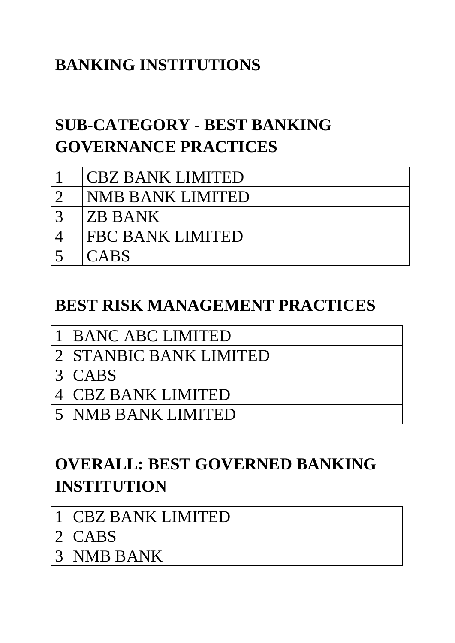# **BANKING INSTITUTIONS**

# **SUB-CATEGORY - BEST BANKING GOVERNANCE PRACTICES**

|           | <b>CBZ BANK LIMITED</b> |
|-----------|-------------------------|
|           |                         |
| $\bigcap$ | NMB BANK LIMITED        |
|           | <b>ZB BANK</b>          |
|           | FBC BANK LIMITED        |
|           | <b>CABS</b>             |

## **BEST RISK MANAGEMENT PRACTICES**

| 1 BANC ABC LIMITED |
|--------------------|
|                    |

- 2 STANBIC BANK LIMITED
- $3$  CABS
- 4 CBZ BANK LIMITED
- 5 NMB BANK LIMITED

# **OVERALL: BEST GOVERNED BANKING INSTITUTION**

- 1 CBZ BANK LIMITED
- $2$  CABS
- 3 NMB BANK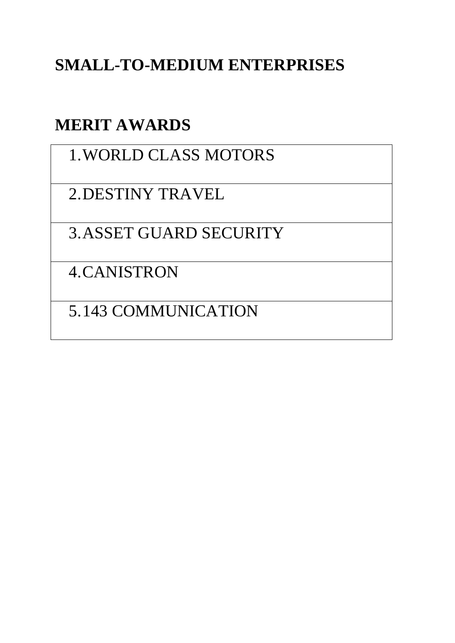# **SMALL-TO-MEDIUM ENTERPRISES**

## **MERIT AWARDS**

## 1.WORLD CLASS MOTORS

2.DESTINY TRAVEL

3.ASSET GUARD SECURITY

4.CANISTRON

5.143 COMMUNICATION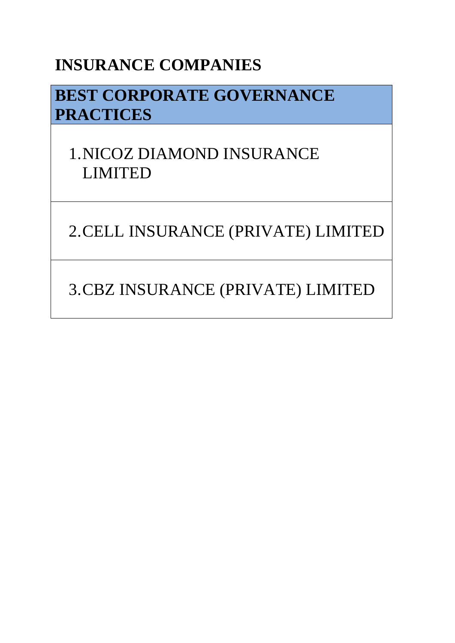## **INSURANCE COMPANIES**

# **BEST CORPORATE GOVERNANCE PRACTICES**

# 1.NICOZ DIAMOND INSURANCE LIMITED

2.CELL INSURANCE (PRIVATE) LIMITED

3.CBZ INSURANCE (PRIVATE) LIMITED